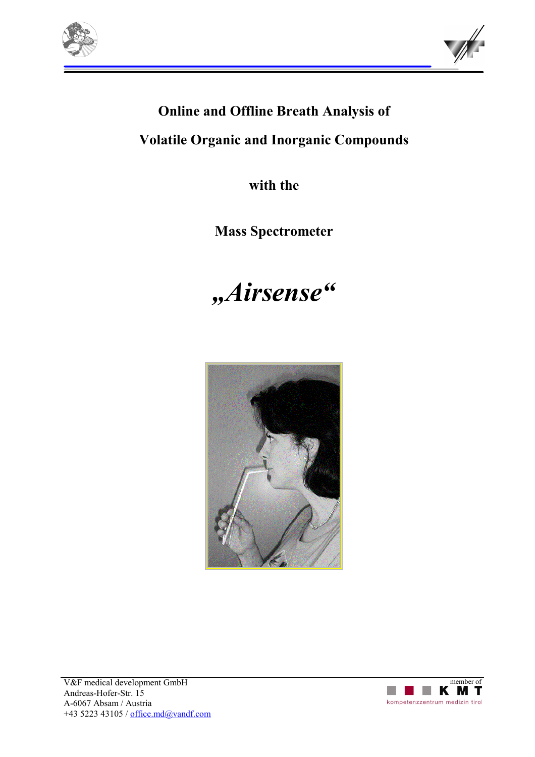



# **Online and Offline Breath Analysis of**

**Volatile Organic and Inorganic Compounds** 

**with the** 

**Mass Spectrometer** 

# *"Airsense"*

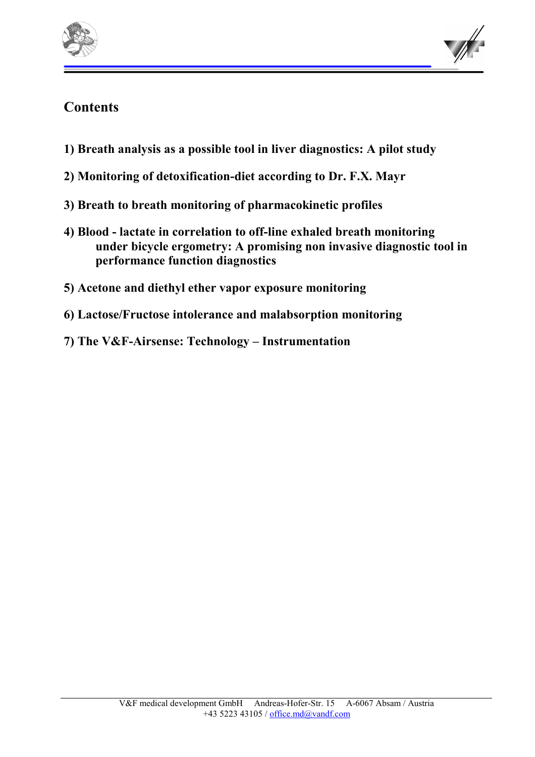



## **Contents**

- **1) Breath analysis as a possible tool in liver diagnostics: A pilot study**
- **2) Monitoring of detoxification-diet according to Dr. F.X. Mayr**
- **3) Breath to breath monitoring of pharmacokinetic profiles**
- **4) Blood lactate in correlation to off-line exhaled breath monitoring under bicycle ergometry: A promising non invasive diagnostic tool in performance function diagnostics**
- **5) Acetone and diethyl ether vapor exposure monitoring**
- **6) Lactose/Fructose intolerance and malabsorption monitoring**
- **7) The V&F-Airsense: Technology Instrumentation**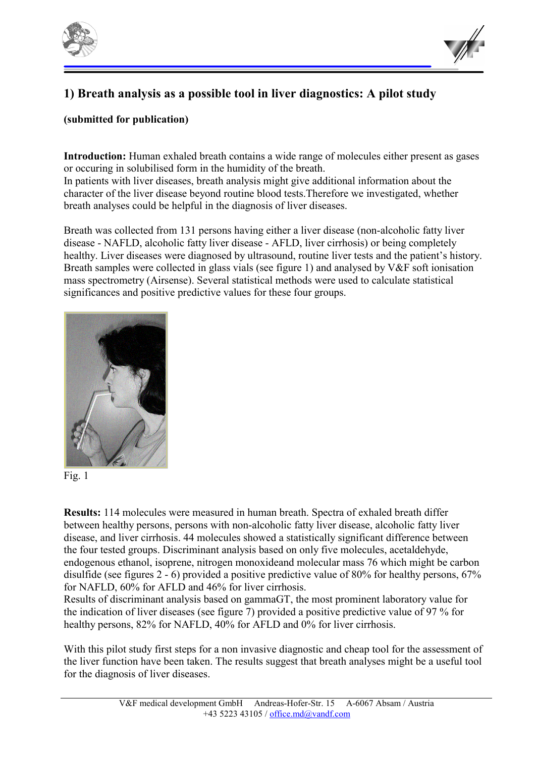



## **1) Breath analysis as a possible tool in liver diagnostics: A pilot study**

#### **(submitted for publication)**

**Introduction:** Human exhaled breath contains a wide range of molecules either present as gases or occuring in solubilised form in the humidity of the breath.

In patients with liver diseases, breath analysis might give additional information about the character of the liver disease beyond routine blood tests.Therefore we investigated, whether breath analyses could be helpful in the diagnosis of liver diseases.

Breath was collected from 131 persons having either a liver disease (non-alcoholic fatty liver disease - NAFLD, alcoholic fatty liver disease - AFLD, liver cirrhosis) or being completely healthy. Liver diseases were diagnosed by ultrasound, routine liver tests and the patient's history. Breath samples were collected in glass vials (see figure 1) and analysed by V&F soft ionisation mass spectrometry (Airsense). Several statistical methods were used to calculate statistical significances and positive predictive values for these four groups.





**Results:** 114 molecules were measured in human breath. Spectra of exhaled breath differ between healthy persons, persons with non-alcoholic fatty liver disease, alcoholic fatty liver disease, and liver cirrhosis. 44 molecules showed a statistically significant difference between the four tested groups. Discriminant analysis based on only five molecules, acetaldehyde, endogenous ethanol, isoprene, nitrogen monoxideand molecular mass 76 which might be carbon disulfide (see figures 2 - 6) provided a positive predictive value of 80% for healthy persons, 67% for NAFLD, 60% for AFLD and 46% for liver cirrhosis.

Results of discriminant analysis based on gammaGT, the most prominent laboratory value for the indication of liver diseases (see figure 7) provided a positive predictive value of 97 % for healthy persons, 82% for NAFLD, 40% for AFLD and 0% for liver cirrhosis.

With this pilot study first steps for a non invasive diagnostic and cheap tool for the assessment of the liver function have been taken. The results suggest that breath analyses might be a useful tool for the diagnosis of liver diseases.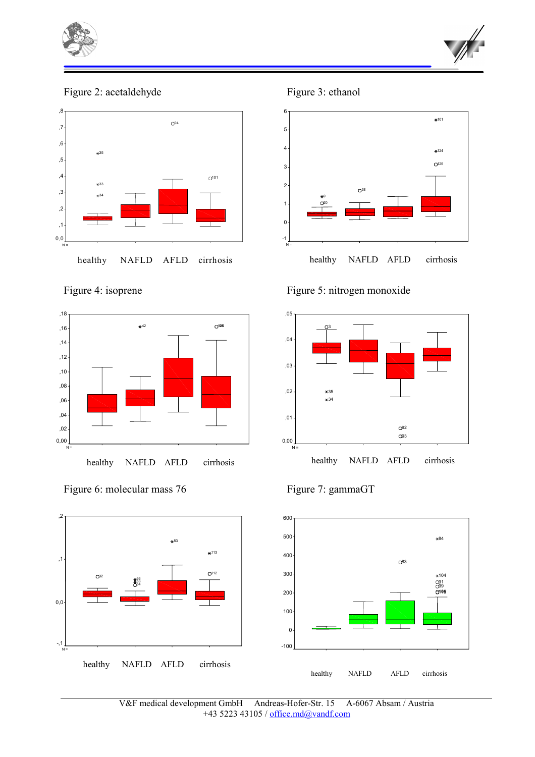



Figure 2: acetaldehyde Figure 3: ethanol





Figure 6: molecular mass 76 Figure 7: gammaGT





Figure 4: isoprene Figure 5: nitrogen monoxide





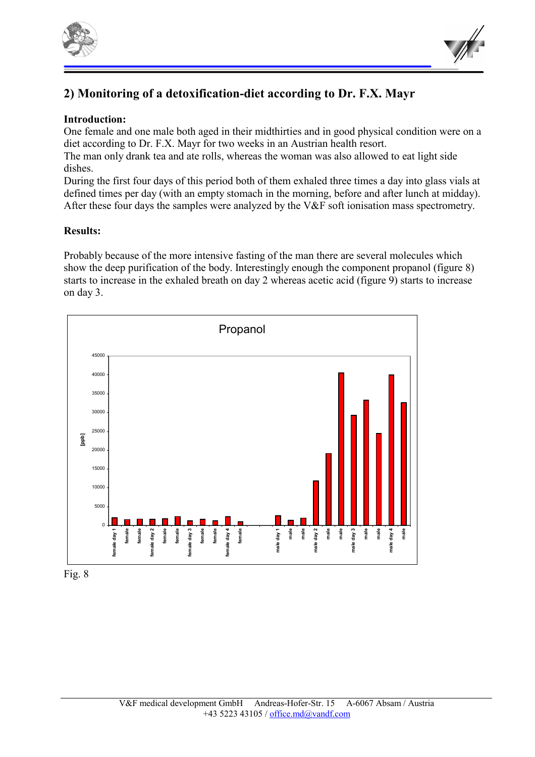



## **2) Monitoring of a detoxification-diet according to Dr. F.X. Mayr**

#### **Introduction:**

One female and one male both aged in their midthirties and in good physical condition were on a diet according to Dr. F.X. Mayr for two weeks in an Austrian health resort.

The man only drank tea and ate rolls, whereas the woman was also allowed to eat light side dishes.

During the first four days of this period both of them exhaled three times a day into glass vials at defined times per day (with an empty stomach in the morning, before and after lunch at midday). After these four days the samples were analyzed by the V&F soft ionisation mass spectrometry.

#### **Results:**

Probably because of the more intensive fasting of the man there are several molecules which show the deep purification of the body. Interestingly enough the component propanol (figure 8) starts to increase in the exhaled breath on day 2 whereas acetic acid (figure 9) starts to increase on day 3.



Fig. 8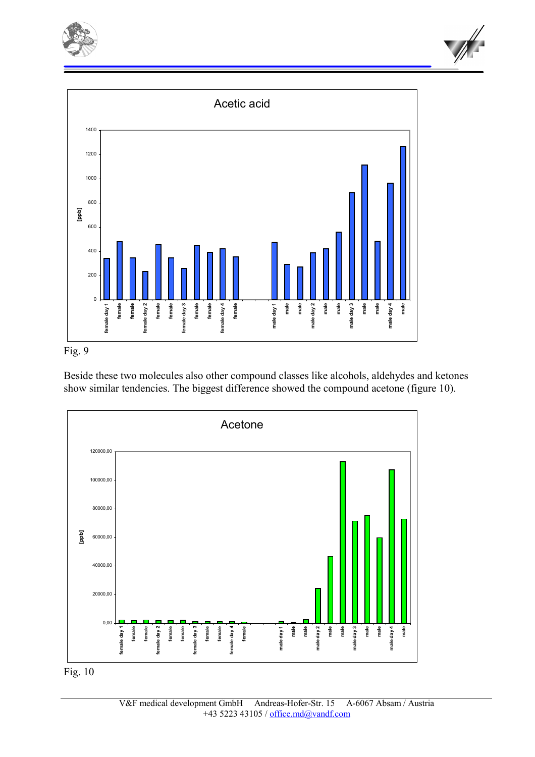







Beside these two molecules also other compound classes like alcohols, aldehydes and ketones show similar tendencies. The biggest difference showed the compound acetone (figure 10).



![](_page_5_Figure_6.jpeg)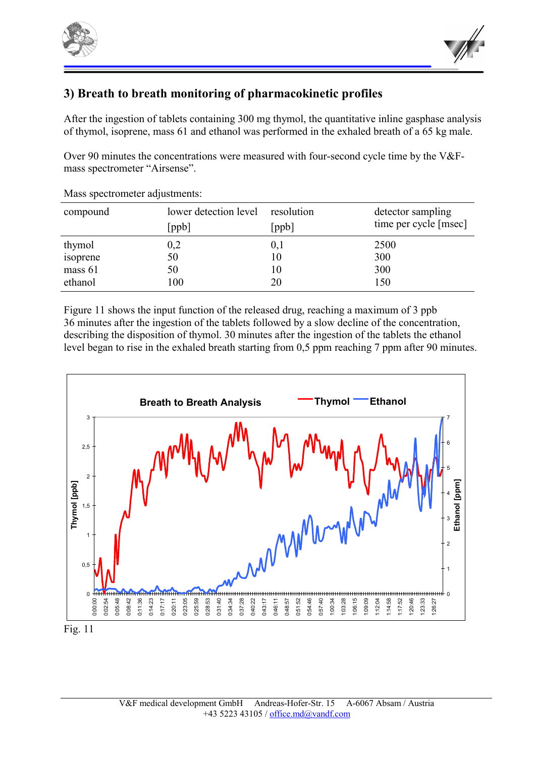![](_page_6_Picture_0.jpeg)

![](_page_6_Picture_1.jpeg)

## **3) Breath to breath monitoring of pharmacokinetic profiles**

After the ingestion of tablets containing 300 mg thymol, the quantitative inline gasphase analysis of thymol, isoprene, mass 61 and ethanol was performed in the exhaled breath of a 65 kg male.

Over 90 minutes the concentrations were measured with four-second cycle time by the V&Fmass spectrometer "Airsense".

| lower detection level<br>[ppb] | [ppb] | detector sampling<br>time per cycle [msec] |
|--------------------------------|-------|--------------------------------------------|
| 0,2                            | 0,1   | 2500                                       |
| 50                             | 10    | 300                                        |
| 50                             | 10    | 300                                        |
| 100                            | 20    | 150                                        |
|                                |       | resolution                                 |

Mass spectrometer adjustments:

Figure 11 shows the input function of the released drug, reaching a maximum of 3 ppb 36 minutes after the ingestion of the tablets followed by a slow decline of the concentration, describing the disposition of thymol. 30 minutes after the ingestion of the tablets the ethanol level began to rise in the exhaled breath starting from 0,5 ppm reaching 7 ppm after 90 minutes.

![](_page_6_Figure_8.jpeg)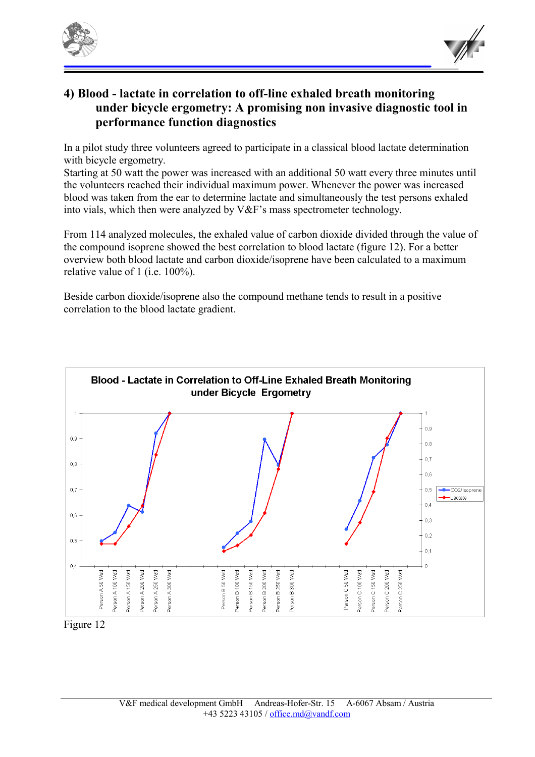![](_page_7_Picture_0.jpeg)

![](_page_7_Picture_1.jpeg)

## **4) Blood - lactate in correlation to off-line exhaled breath monitoring under bicycle ergometry: A promising non invasive diagnostic tool in performance function diagnostics**

In a pilot study three volunteers agreed to participate in a classical blood lactate determination with bicycle ergometry.

Starting at 50 watt the power was increased with an additional 50 watt every three minutes until the volunteers reached their individual maximum power. Whenever the power was increased blood was taken from the ear to determine lactate and simultaneously the test persons exhaled into vials, which then were analyzed by V&F's mass spectrometer technology.

From 114 analyzed molecules, the exhaled value of carbon dioxide divided through the value of the compound isoprene showed the best correlation to blood lactate (figure 12). For a better overview both blood lactate and carbon dioxide/isoprene have been calculated to a maximum relative value of 1 (i.e. 100%).

Beside carbon dioxide/isoprene also the compound methane tends to result in a positive correlation to the blood lactate gradient.

![](_page_7_Figure_7.jpeg)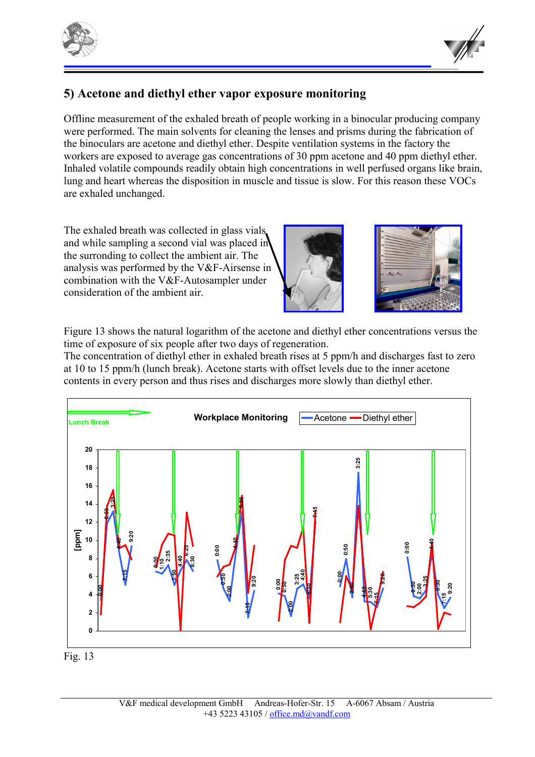![](_page_8_Picture_0.jpeg)

![](_page_8_Picture_1.jpeg)

## **5) Acetone and diethyl ether vapor exposure monitoring**

Offline measurement of the exhaled breath of people working in a binocular producing company were performed. The main solvents for cleaning the lenses and prisms during the fabrication of the binoculars are acetone and diethyl ether. Despite ventilation systems in the factory the workers are exposed to average gas concentrations of 30 ppm acetone and 40 ppm diethyl ether. Inhaled volatile compounds readily obtain high concentrations in well perfused organs like brain, lung and heart whereas the disposition in muscle and tissue is slow. For this reason these VOCs are exhaled unchanged.

The exhaled breath was collected in glass vials and while sampling a second vial was placed in the surronding to collect the ambient air. The analysis was performed by the V&F-Airsense in combination with the V&F-Autosampler under consideration of the ambient air.

![](_page_8_Picture_5.jpeg)

Figure 13 shows the natural logarithm of the acetone and diethyl ether concentrations versus the time of exposure of six people after two days of regeneration.

The concentration of diethyl ether in exhaled breath rises at 5 ppm/h and discharges fast to zero at 10 to 15 ppm/h (lunch break). Acetone starts with offset levels due to the inner acetone contents in every person and thus rises and discharges more slowly than diethyl ether.

![](_page_8_Figure_8.jpeg)

![](_page_8_Figure_9.jpeg)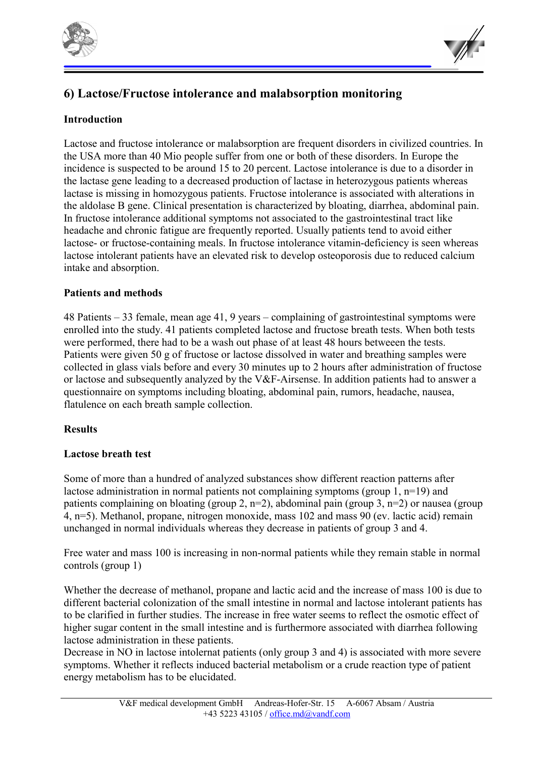![](_page_9_Picture_0.jpeg)

![](_page_9_Picture_1.jpeg)

## **6) Lactose/Fructose intolerance and malabsorption monitoring**

### **Introduction**

Lactose and fructose intolerance or malabsorption are frequent disorders in civilized countries. In the USA more than 40 Mio people suffer from one or both of these disorders. In Europe the incidence is suspected to be around 15 to 20 percent. Lactose intolerance is due to a disorder in the lactase gene leading to a decreased production of lactase in heterozygous patients whereas lactase is missing in homozygous patients. Fructose intolerance is associated with alterations in the aldolase B gene. Clinical presentation is characterized by bloating, diarrhea, abdominal pain. In fructose intolerance additional symptoms not associated to the gastrointestinal tract like headache and chronic fatigue are frequently reported. Usually patients tend to avoid either lactose- or fructose-containing meals. In fructose intolerance vitamin-deficiency is seen whereas lactose intolerant patients have an elevated risk to develop osteoporosis due to reduced calcium intake and absorption.

#### **Patients and methods**

48 Patients – 33 female, mean age 41, 9 years – complaining of gastrointestinal symptoms were enrolled into the study. 41 patients completed lactose and fructose breath tests. When both tests were performed, there had to be a wash out phase of at least 48 hours betweeen the tests. Patients were given 50 g of fructose or lactose dissolved in water and breathing samples were collected in glass vials before and every 30 minutes up to 2 hours after administration of fructose or lactose and subsequently analyzed by the V&F-Airsense. In addition patients had to answer a questionnaire on symptoms including bloating, abdominal pain, rumors, headache, nausea, flatulence on each breath sample collection.

#### **Results**

#### **Lactose breath test**

Some of more than a hundred of analyzed substances show different reaction patterns after lactose administration in normal patients not complaining symptoms (group 1, n=19) and patients complaining on bloating (group 2,  $n=2$ ), abdominal pain (group 3,  $n=2$ ) or nausea (group 4, n=5). Methanol, propane, nitrogen monoxide, mass 102 and mass 90 (ev. lactic acid) remain unchanged in normal individuals whereas they decrease in patients of group 3 and 4.

Free water and mass 100 is increasing in non-normal patients while they remain stable in normal controls (group 1)

Whether the decrease of methanol, propane and lactic acid and the increase of mass 100 is due to different bacterial colonization of the small intestine in normal and lactose intolerant patients has to be clarified in further studies. The increase in free water seems to reflect the osmotic effect of higher sugar content in the small intestine and is furthermore associated with diarrhea following lactose administration in these patients.

Decrease in NO in lactose intolernat patients (only group 3 and 4) is associated with more severe symptoms. Whether it reflects induced bacterial metabolism or a crude reaction type of patient energy metabolism has to be elucidated.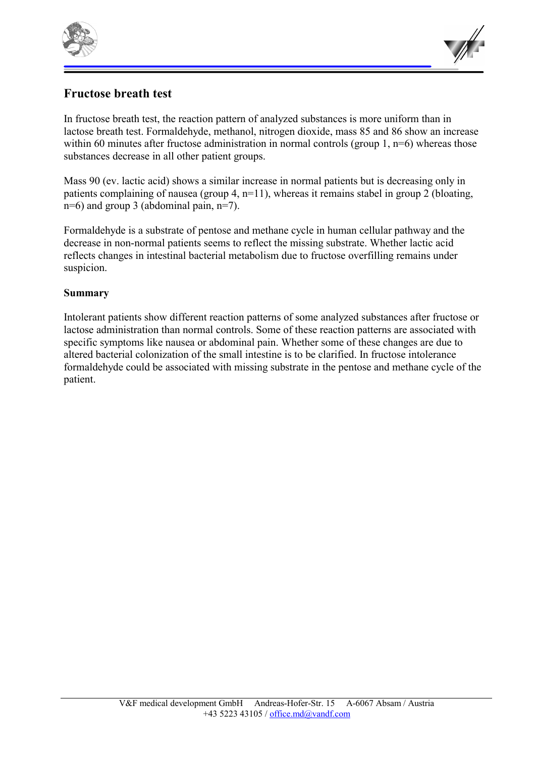![](_page_10_Picture_0.jpeg)

![](_page_10_Picture_1.jpeg)

## **Fructose breath test**

In fructose breath test, the reaction pattern of analyzed substances is more uniform than in lactose breath test. Formaldehyde, methanol, nitrogen dioxide, mass 85 and 86 show an increase within 60 minutes after fructose administration in normal controls (group 1, n=6) whereas those substances decrease in all other patient groups.

Mass 90 (ev. lactic acid) shows a similar increase in normal patients but is decreasing only in patients complaining of nausea (group 4, n=11), whereas it remains stabel in group 2 (bloating, n=6) and group 3 (abdominal pain, n=7).

Formaldehyde is a substrate of pentose and methane cycle in human cellular pathway and the decrease in non-normal patients seems to reflect the missing substrate. Whether lactic acid reflects changes in intestinal bacterial metabolism due to fructose overfilling remains under suspicion.

#### **Summary**

Intolerant patients show different reaction patterns of some analyzed substances after fructose or lactose administration than normal controls. Some of these reaction patterns are associated with specific symptoms like nausea or abdominal pain. Whether some of these changes are due to altered bacterial colonization of the small intestine is to be clarified. In fructose intolerance formaldehyde could be associated with missing substrate in the pentose and methane cycle of the patient.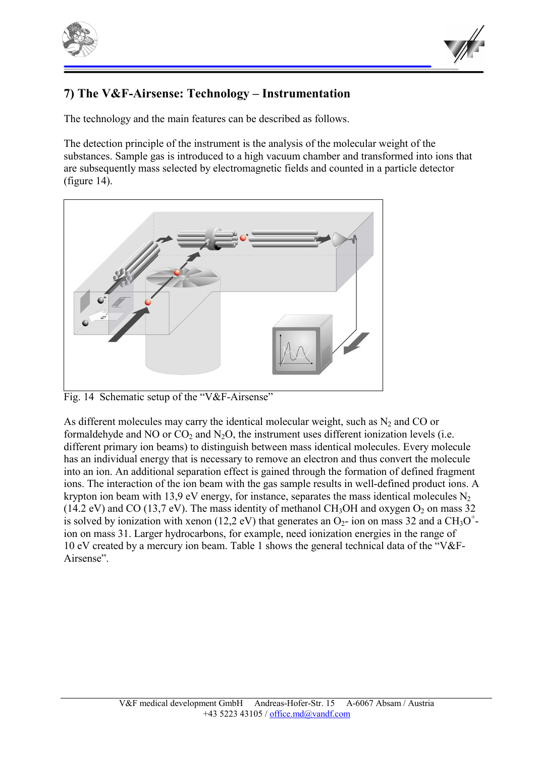![](_page_11_Picture_0.jpeg)

![](_page_11_Picture_1.jpeg)

## **7) The V&F-Airsense: Technology – Instrumentation**

The technology and the main features can be described as follows.

The detection principle of the instrument is the analysis of the molecular weight of the substances. Sample gas is introduced to a high vacuum chamber and transformed into ions that are subsequently mass selected by electromagnetic fields and counted in a particle detector (figure 14).

![](_page_11_Figure_5.jpeg)

Fig. 14 Schematic setup of the "V&F-Airsense"

As different molecules may carry the identical molecular weight, such as  $N_2$  and CO or formaldehyde and NO or  $CO_2$  and N<sub>2</sub>O, the instrument uses different ionization levels (i.e. different primary ion beams) to distinguish between mass identical molecules. Every molecule has an individual energy that is necessary to remove an electron and thus convert the molecule into an ion. An additional separation effect is gained through the formation of defined fragment ions. The interaction of the ion beam with the gas sample results in well-defined product ions. A krypton ion beam with 13,9 eV energy, for instance, separates the mass identical molecules  $N_2$ (14.2 eV) and CO (13,7 eV). The mass identity of methanol CH<sub>3</sub>OH and oxygen O<sub>2</sub> on mass 32 is solved by ionization with xenon (12,2 eV) that generates an  $O_2$ - ion on mass 32 and a CH<sub>3</sub>O<sup>+</sup>ion on mass 31. Larger hydrocarbons, for example, need ionization energies in the range of 10 eV created by a mercury ion beam. Table 1 shows the general technical data of the "V&F-Airsense".